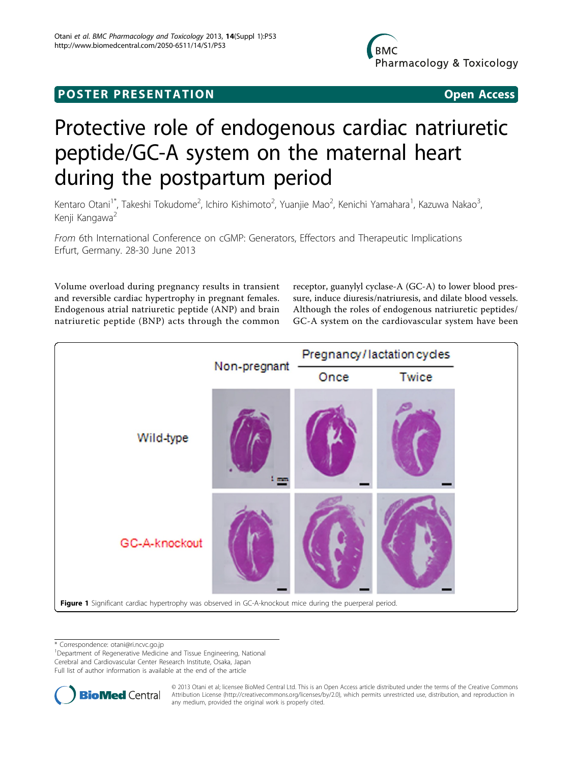## <span id="page-0-0"></span>**POSTER PRESENTATION** PO ST ER PR E S EN TA TION Open Access

## Protective role of endogenous cardiac natriuretic peptide/GC-A system on the maternal heart during the postpartum period

Kentaro Otani<sup>1\*</sup>, Takeshi Tokudome<sup>2</sup>, Ichiro Kishimoto<sup>2</sup>, Yuanjie Mao<sup>2</sup>, Kenichi Yamahara<sup>1</sup>, Kazuwa Nakao<sup>3</sup> , Kenji Kangawa<sup>2</sup>

From 6th International Conference on cGMP: Generators, Effectors and Therapeutic Implications Erfurt, Germany. 28-30 June 2013

Volume overload during pregnancy results in transient and reversible cardiac hypertrophy in pregnant females. Endogenous atrial natriuretic peptide (ANP) and brain natriuretic peptide (BNP) acts through the common receptor, guanylyl cyclase-A (GC-A) to lower blood pressure, induce diuresis/natriuresis, and dilate blood vessels. Although the roles of endogenous natriuretic peptides/ GC-A system on the cardiovascular system have been



\* Correspondence: [otani@ri.ncvc.go.jp](mailto:otani@ri.ncvc.go.jp)

<sup>1</sup>Department of Regenerative Medicine and Tissue Engineering, National Cerebral and Cardiovascular Center Research Institute, Osaka, Japan

Full list of author information is available at the end of the article



© 2013 Otani et al; licensee BioMed Central Ltd. This is an Open Access article distributed under the terms of the Creative Commons Attribution License [\(http://creativecommons.org/licenses/by/2.0](http://creativecommons.org/licenses/by/2.0)), which permits unrestricted use, distribution, and reproduction in any medium, provided the original work is properly cited.